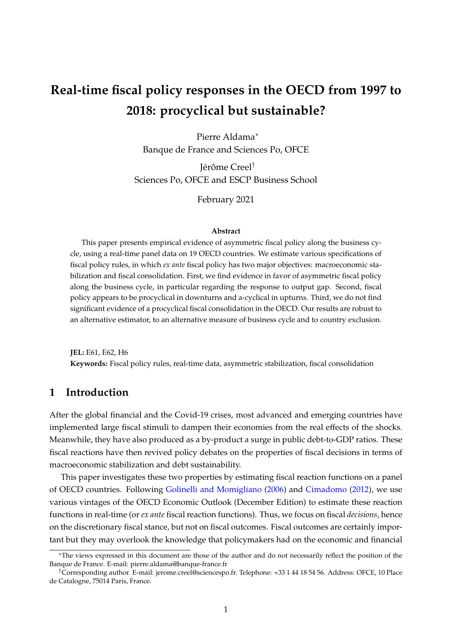# **Real-time fiscal policy responses in the OECD from 1997 to 2018: procyclical but sustainable?**

Pierre Aldama<sup>∗</sup> Banque de France and Sciences Po, OFCE

Jérôme Creel† Sciences Po, OFCE and ESCP Business School

February 2021

#### **Abstract**

This paper presents empirical evidence of asymmetric fiscal policy along the business cycle, using a real-time panel data on 19 OECD countries. We estimate various specifications of fiscal policy rules, in which *ex ante* fiscal policy has two major objectives: macroeconomic stabilization and fiscal consolidation. First, we find evidence in favor of asymmetric fiscal policy along the business cycle, in particular regarding the response to output gap. Second, fiscal policy appears to be procyclical in downturns and a-cyclical in upturns. Third, we do not find significant evidence of a procyclical fiscal consolidation in the OECD. Our results are robust to an alternative estimator, to an alternative measure of business cycle and to country exclusion.

**JEL:** E61, E62, H6 **Keywords:** Fiscal policy rules, real-time data, asymmetric stabilization, fiscal consolidation

# **1 Introduction**

After the global financial and the Covid-19 crises, most advanced and emerging countries have implemented large fiscal stimuli to dampen their economies from the real effects of the shocks. Meanwhile, they have also produced as a by-product a surge in public debt-to-GDP ratios. These fiscal reactions have then revived policy debates on the properties of fiscal decisions in terms of macroeconomic stabilization and debt sustainability.

This paper investigates these two properties by estimating fiscal reaction functions on a panel of OECD countries. Following [Golinelli and Momigliano](#page-22-0) [\(2006\)](#page-22-0) and [Cimadomo](#page-22-1) [\(2012\)](#page-22-1), we use various vintages of the OECD Economic Outlook (December Edition) to estimate these reaction functions in real-time (or *ex ante* fiscal reaction functions). Thus, we focus on fiscal *decisions*, hence on the discretionary fiscal stance, but not on fiscal outcomes. Fiscal outcomes are certainly important but they may overlook the knowledge that policymakers had on the economic and financial

<sup>∗</sup>The views expressed in this document are those of the author and do not necessarily reflect the position of the Banque de France. E-mail: pierre.aldama@banque-france.fr

<sup>†</sup>Corresponding author. E-mail: jerome.creel@sciencespo.fr. Telephone: +33 1 44 18 54 56. Address: OFCE, 10 Place de Catalogne, 75014 Paris, France.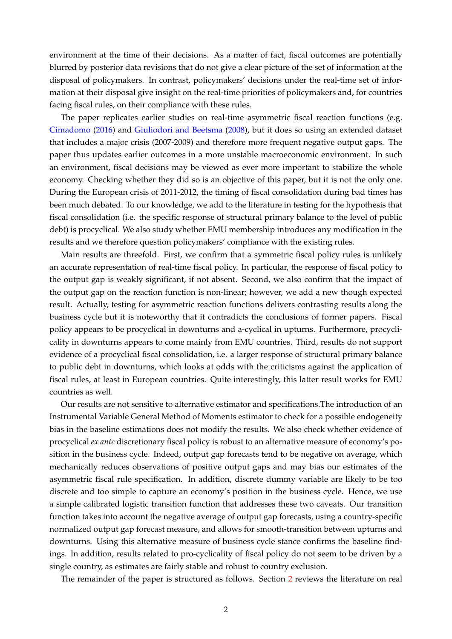environment at the time of their decisions. As a matter of fact, fiscal outcomes are potentially blurred by posterior data revisions that do not give a clear picture of the set of information at the disposal of policymakers. In contrast, policymakers' decisions under the real-time set of information at their disposal give insight on the real-time priorities of policymakers and, for countries facing fiscal rules, on their compliance with these rules.

The paper replicates earlier studies on real-time asymmetric fiscal reaction functions (e.g. [Cimadomo](#page-22-2) [\(2016\)](#page-22-2) and [Giuliodori and Beetsma](#page-22-3) [\(2008\)](#page-22-3), but it does so using an extended dataset that includes a major crisis (2007-2009) and therefore more frequent negative output gaps. The paper thus updates earlier outcomes in a more unstable macroeconomic environment. In such an environment, fiscal decisions may be viewed as ever more important to stabilize the whole economy. Checking whether they did so is an objective of this paper, but it is not the only one. During the European crisis of 2011-2012, the timing of fiscal consolidation during bad times has been much debated. To our knowledge, we add to the literature in testing for the hypothesis that fiscal consolidation (i.e. the specific response of structural primary balance to the level of public debt) is procyclical. We also study whether EMU membership introduces any modification in the results and we therefore question policymakers' compliance with the existing rules.

Main results are threefold. First, we confirm that a symmetric fiscal policy rules is unlikely an accurate representation of real-time fiscal policy. In particular, the response of fiscal policy to the output gap is weakly significant, if not absent. Second, we also confirm that the impact of the output gap on the reaction function is non-linear; however, we add a new though expected result. Actually, testing for asymmetric reaction functions delivers contrasting results along the business cycle but it is noteworthy that it contradicts the conclusions of former papers. Fiscal policy appears to be procyclical in downturns and a-cyclical in upturns. Furthermore, procyclicality in downturns appears to come mainly from EMU countries. Third, results do not support evidence of a procyclical fiscal consolidation, i.e. a larger response of structural primary balance to public debt in downturns, which looks at odds with the criticisms against the application of fiscal rules, at least in European countries. Quite interestingly, this latter result works for EMU countries as well.

Our results are not sensitive to alternative estimator and specifications.The introduction of an Instrumental Variable General Method of Moments estimator to check for a possible endogeneity bias in the baseline estimations does not modify the results. We also check whether evidence of procyclical *ex ante* discretionary fiscal policy is robust to an alternative measure of economy's position in the business cycle. Indeed, output gap forecasts tend to be negative on average, which mechanically reduces observations of positive output gaps and may bias our estimates of the asymmetric fiscal rule specification. In addition, discrete dummy variable are likely to be too discrete and too simple to capture an economy's position in the business cycle. Hence, we use a simple calibrated logistic transition function that addresses these two caveats. Our transition function takes into account the negative average of output gap forecasts, using a country-specific normalized output gap forecast measure, and allows for smooth-transition between upturns and downturns. Using this alternative measure of business cycle stance confirms the baseline findings. In addition, results related to pro-cyclicality of fiscal policy do not seem to be driven by a single country, as estimates are fairly stable and robust to country exclusion.

The remainder of the paper is structured as follows. Section [2](#page-2-0) reviews the literature on real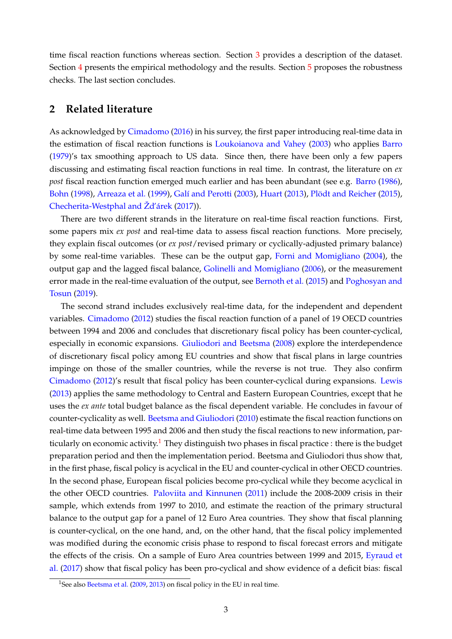time fiscal reaction functions whereas section. Section [3](#page-3-0) provides a description of the dataset. Section [4](#page-4-0) presents the empirical methodology and the results. Section [5](#page-8-0) proposes the robustness checks. The last section concludes.

## <span id="page-2-0"></span>**2 Related literature**

As acknowledged by [Cimadomo](#page-22-2) [\(2016\)](#page-22-2) in his survey, the first paper introducing real-time data in the estimation of fiscal reaction functions is [Loukoianova and Vahey](#page-23-0) [\(2003\)](#page-23-0) who applies [Barro](#page-22-4) [\(1979\)](#page-22-4)'s tax smoothing approach to US data. Since then, there have been only a few papers discussing and estimating fiscal reaction functions in real time. In contrast, the literature on *ex post* fiscal reaction function emerged much earlier and has been abundant (see e.g. [Barro](#page-22-5) [\(1986\)](#page-22-5), [Bohn](#page-22-6) [\(1998\)](#page-22-6), [Arreaza et al.](#page-22-7) [\(1999\)](#page-22-7), [Galí and Perotti](#page-22-8) [\(2003\)](#page-22-8), [Huart](#page-22-9) [\(2013\)](#page-22-9), [Plödt and Reicher](#page-23-1) [\(2015\)](#page-23-1), [Checherita-Westphal and Žd'árek](#page-22-10) [\(2017\)](#page-22-10)).

There are two different strands in the literature on real-time fiscal reaction functions. First, some papers mix *ex post* and real-time data to assess fiscal reaction functions. More precisely, they explain fiscal outcomes (or *ex post*/revised primary or cyclically-adjusted primary balance) by some real-time variables. These can be the output gap, [Forni and Momigliano](#page-22-11) [\(2004\)](#page-22-11), the output gap and the lagged fiscal balance, [Golinelli and Momigliano](#page-22-0) [\(2006\)](#page-22-0), or the measurement error made in the real-time evaluation of the output, see [Bernoth et al.](#page-22-12) [\(2015\)](#page-22-12) and [Poghosyan and](#page-23-2) [Tosun](#page-23-2) [\(2019\)](#page-23-2).

The second strand includes exclusively real-time data, for the independent and dependent variables. [Cimadomo](#page-22-1) [\(2012\)](#page-22-1) studies the fiscal reaction function of a panel of 19 OECD countries between 1994 and 2006 and concludes that discretionary fiscal policy has been counter-cyclical, especially in economic expansions. [Giuliodori and Beetsma](#page-22-3) [\(2008\)](#page-22-3) explore the interdependence of discretionary fiscal policy among EU countries and show that fiscal plans in large countries impinge on those of the smaller countries, while the reverse is not true. They also confirm [Cimadomo](#page-22-1) [\(2012\)](#page-22-1)'s result that fiscal policy has been counter-cyclical during expansions. [Lewis](#page-23-3) [\(2013\)](#page-23-3) applies the same methodology to Central and Eastern European Countries, except that he uses the *ex ante* total budget balance as the fiscal dependent variable. He concludes in favour of counter-cyclicality as well. [Beetsma and Giuliodori](#page-22-13) [\(2010\)](#page-22-13) estimate the fiscal reaction functions on real-time data between 1995 and 2006 and then study the fiscal reactions to new information, par-ticularly on economic activity.<sup>[1](#page-2-1)</sup> They distinguish two phases in fiscal practice : there is the budget preparation period and then the implementation period. Beetsma and Giuliodori thus show that, in the first phase, fiscal policy is acyclical in the EU and counter-cyclical in other OECD countries. In the second phase, European fiscal policies become pro-cyclical while they become acyclical in the other OECD countries. [Paloviita and Kinnunen](#page-23-4) [\(2011\)](#page-23-4) include the 2008-2009 crisis in their sample, which extends from 1997 to 2010, and estimate the reaction of the primary structural balance to the output gap for a panel of 12 Euro Area countries. They show that fiscal planning is counter-cyclical, on the one hand, and, on the other hand, that the fiscal policy implemented was modified during the economic crisis phase to respond to fiscal forecast errors and mitigate the effects of the crisis. On a sample of Euro Area countries between 1999 and 2015, [Eyraud et](#page-22-14) [al.](#page-22-14) [\(2017\)](#page-22-14) show that fiscal policy has been pro-cyclical and show evidence of a deficit bias: fiscal

<span id="page-2-1"></span><sup>&</sup>lt;sup>1</sup>See also [Beetsma et al.](#page-22-15) [\(2009,](#page-22-15) [2013\)](#page-22-16) on fiscal policy in the EU in real time.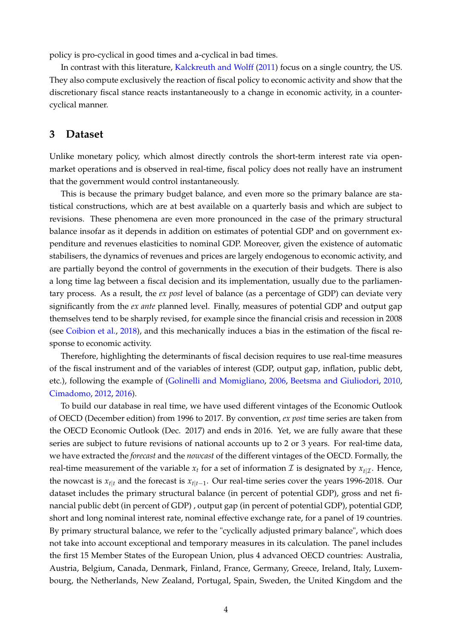policy is pro-cyclical in good times and a-cyclical in bad times.

In contrast with this literature, [Kalckreuth and Wolff](#page-23-5) [\(2011\)](#page-23-5) focus on a single country, the US. They also compute exclusively the reaction of fiscal policy to economic activity and show that the discretionary fiscal stance reacts instantaneously to a change in economic activity, in a countercyclical manner.

# <span id="page-3-0"></span>**3 Dataset**

Unlike monetary policy, which almost directly controls the short-term interest rate via openmarket operations and is observed in real-time, fiscal policy does not really have an instrument that the government would control instantaneously.

This is because the primary budget balance, and even more so the primary balance are statistical constructions, which are at best available on a quarterly basis and which are subject to revisions. These phenomena are even more pronounced in the case of the primary structural balance insofar as it depends in addition on estimates of potential GDP and on government expenditure and revenues elasticities to nominal GDP. Moreover, given the existence of automatic stabilisers, the dynamics of revenues and prices are largely endogenous to economic activity, and are partially beyond the control of governments in the execution of their budgets. There is also a long time lag between a fiscal decision and its implementation, usually due to the parliamentary process. As a result, the *ex post* level of balance (as a percentage of GDP) can deviate very significantly from the *ex ante* planned level. Finally, measures of potential GDP and output gap themselves tend to be sharply revised, for example since the financial crisis and recession in 2008 (see [Coibion et al.,](#page-22-17) [2018\)](#page-22-17), and this mechanically induces a bias in the estimation of the fiscal response to economic activity.

Therefore, highlighting the determinants of fiscal decision requires to use real-time measures of the fiscal instrument and of the variables of interest (GDP, output gap, inflation, public debt, etc.), following the example of [\(Golinelli and Momigliano,](#page-22-0) [2006,](#page-22-0) [Beetsma and Giuliodori,](#page-22-13) [2010,](#page-22-13) [Cimadomo,](#page-22-1) [2012,](#page-22-1) [2016\)](#page-22-2).

To build our database in real time, we have used different vintages of the Economic Outlook of OECD (December edition) from 1996 to 2017. By convention, *ex post* time series are taken from the OECD Economic Outlook (Dec. 2017) and ends in 2016. Yet, we are fully aware that these series are subject to future revisions of national accounts up to 2 or 3 years. For real-time data, we have extracted the *forecast* and the *nowcast* of the different vintages of the OECD. Formally, the real-time measurement of the variable  $x_t$  for a set of information  $\mathcal I$  is designated by  $x_{t|\mathcal I}$ . Hence, the nowcast is *xt*|*<sup>t</sup>* and the forecast is *xt*|*t*−<sup>1</sup> . Our real-time series cover the years 1996-2018. Our dataset includes the primary structural balance (in percent of potential GDP), gross and net financial public debt (in percent of GDP) , output gap (in percent of potential GDP), potential GDP, short and long nominal interest rate, nominal effective exchange rate, for a panel of 19 countries. By primary structural balance, we refer to the "cyclically adjusted primary balance", which does not take into account exceptional and temporary measures in its calculation. The panel includes the first 15 Member States of the European Union, plus 4 advanced OECD countries: Australia, Austria, Belgium, Canada, Denmark, Finland, France, Germany, Greece, Ireland, Italy, Luxembourg, the Netherlands, New Zealand, Portugal, Spain, Sweden, the United Kingdom and the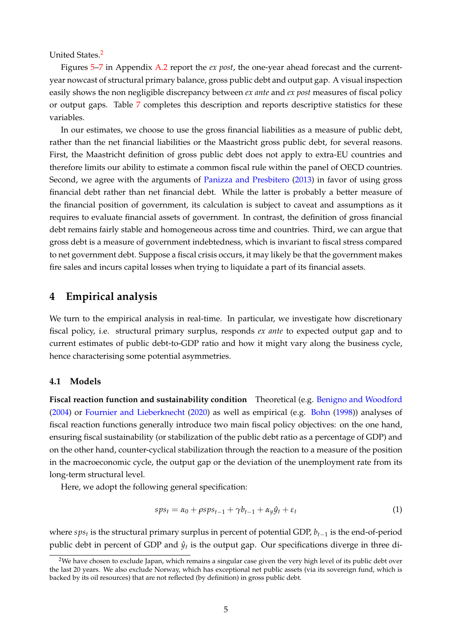United States.[2](#page-4-1)

Figures [5](#page-20-0)[–7](#page-21-0) in Appendix [A.2](#page-20-1) report the *ex post*, the one-year ahead forecast and the currentyear nowcast of structural primary balance, gross public debt and output gap. A visual inspection easily shows the non negligible discrepancy between *ex ante* and *ex post* measures of fiscal policy or output gaps. Table [7](#page-20-2) completes this description and reports descriptive statistics for these variables.

In our estimates, we choose to use the gross financial liabilities as a measure of public debt, rather than the net financial liabilities or the Maastricht gross public debt, for several reasons. First, the Maastricht definition of gross public debt does not apply to extra-EU countries and therefore limits our ability to estimate a common fiscal rule within the panel of OECD countries. Second, we agree with the arguments of [Panizza and Presbitero](#page-23-6) [\(2013\)](#page-23-6) in favor of using gross financial debt rather than net financial debt. While the latter is probably a better measure of the financial position of government, its calculation is subject to caveat and assumptions as it requires to evaluate financial assets of government. In contrast, the definition of gross financial debt remains fairly stable and homogeneous across time and countries. Third, we can argue that gross debt is a measure of government indebtedness, which is invariant to fiscal stress compared to net government debt. Suppose a fiscal crisis occurs, it may likely be that the government makes fire sales and incurs capital losses when trying to liquidate a part of its financial assets.

# <span id="page-4-0"></span>**4 Empirical analysis**

We turn to the empirical analysis in real-time. In particular, we investigate how discretionary fiscal policy, i.e. structural primary surplus, responds *ex ante* to expected output gap and to current estimates of public debt-to-GDP ratio and how it might vary along the business cycle, hence characterising some potential asymmetries.

#### **4.1 Models**

**Fiscal reaction function and sustainability condition** Theoretical (e.g. [Benigno and Woodford](#page-22-18) [\(2004\)](#page-22-18) or [Fournier and Lieberknecht](#page-22-19) [\(2020\)](#page-22-19) as well as empirical (e.g. [Bohn](#page-22-6) [\(1998\)](#page-22-6)) analyses of fiscal reaction functions generally introduce two main fiscal policy objectives: on the one hand, ensuring fiscal sustainability (or stabilization of the public debt ratio as a percentage of GDP) and on the other hand, counter-cyclical stabilization through the reaction to a measure of the position in the macroeconomic cycle, the output gap or the deviation of the unemployment rate from its long-term structural level.

Here, we adopt the following general specification:

<span id="page-4-2"></span>
$$
sp s_t = \alpha_0 + \rho s p s_{t-1} + \gamma b_{t-1} + \alpha_y \hat{y}_t + \varepsilon_t \tag{1}
$$

where *sps<sup>t</sup>* is the structural primary surplus in percent of potential GDP, *bt*−<sup>1</sup> is the end-of-period public debt in percent of GDP and  $\hat{y}_t$  is the output gap. Our specifications diverge in three di-

<span id="page-4-1"></span><sup>&</sup>lt;sup>2</sup>We have chosen to exclude Japan, which remains a singular case given the very high level of its public debt over the last 20 years. We also exclude Norway, which has exceptional net public assets (via its sovereign fund, which is backed by its oil resources) that are not reflected (by definition) in gross public debt.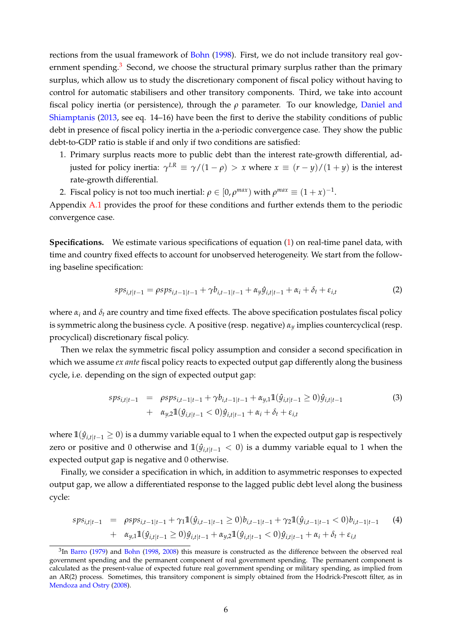rections from the usual framework of [Bohn](#page-22-6) [\(1998\)](#page-22-6). First, we do not include transitory real gov-ernment spending.<sup>[3](#page-5-0)</sup> Second, we choose the structural primary surplus rather than the primary surplus, which allow us to study the discretionary component of fiscal policy without having to control for automatic stabilisers and other transitory components. Third, we take into account fiscal policy inertia (or persistence), through the *ρ* parameter. To our knowledge, [Daniel and](#page-22-20) [Shiamptanis](#page-22-20) [\(2013,](#page-22-20) see eq. 14–16) have been the first to derive the stability conditions of public debt in presence of fiscal policy inertia in the a-periodic convergence case. They show the public debt-to-GDP ratio is stable if and only if two conditions are satisfied:

- 1. Primary surplus reacts more to public debt than the interest rate-growth differential, adjusted for policy inertia:  $\gamma^{LR} \equiv \gamma/(1-\rho) > x$  where  $x \equiv (r-y)/(1+y)$  is the interest rate-growth differential.
- 2. Fiscal policy is not too much inertial:  $\rho \in [0, \rho^{max})$  with  $\rho^{max} \equiv (1+x)^{-1}$ .

Appendix [A.1](#page-18-0) provides the proof for these conditions and further extends them to the periodic convergence case.

**Specifications.** We estimate various specifications of equation [\(1\)](#page-4-2) on real-time panel data, with time and country fixed effects to account for unobserved heterogeneity. We start from the following baseline specification:

<span id="page-5-1"></span>
$$
sp s_{i,t|t-1} = \rho sp s_{i,t-1|t-1} + \gamma b_{i,t-1|t-1} + \alpha_y \hat{y}_{i,t|t-1} + \alpha_i + \delta_t + \varepsilon_{i,t}
$$
 (2)

where  $\alpha_i$  and  $\delta_t$  are country and time fixed effects. The above specification postulates fiscal policy is symmetric along the business cycle. A positive (resp. negative) *α<sup>y</sup>* implies countercyclical (resp. procyclical) discretionary fiscal policy.

Then we relax the symmetric fiscal policy assumption and consider a second specification in which we assume *ex ante* fiscal policy reacts to expected output gap differently along the business cycle, i.e. depending on the sign of expected output gap:

<span id="page-5-3"></span>
$$
sps_{i,t|t-1} = \rho sps_{i,t-1|t-1} + \gamma b_{i,t-1|t-1} + \alpha_{y,1} \mathbb{1}(\hat{y}_{i,t|t-1} \ge 0) \hat{y}_{i,t|t-1} + \alpha_{y,2} \mathbb{1}(\hat{y}_{i,t|t-1} < 0) \hat{y}_{i,t|t-1} + \alpha_i + \delta_t + \varepsilon_{i,t}
$$
\n
$$
(3)
$$

where  $\mathbb{1}(\hat{y}_{i,t|t-1} \ge 0)$  is a dummy variable equal to 1 when the expected output gap is respectively zero or positive and 0 otherwise and  $\mathbb{1}(\hat{y}_{i,t|t-1} < 0)$  is a dummy variable equal to 1 when the expected output gap is negative and 0 otherwise.

Finally, we consider a specification in which, in addition to asymmetric responses to expected output gap, we allow a differentiated response to the lagged public debt level along the business cycle:

<span id="page-5-2"></span>
$$
sp_{i,t|t-1} = \rho sp_{i,t-1|t-1} + \gamma_1 \mathbb{1}(\hat{y}_{i,t-1|t-1} \ge 0) b_{i,t-1|t-1} + \gamma_2 \mathbb{1}(\hat{y}_{i,t-1|t-1} < 0) b_{i,t-1|t-1} \tag{4}
$$
\n
$$
+ \alpha_{y,1} \mathbb{1}(\hat{y}_{i,t|t-1} \ge 0) \hat{y}_{i,t|t-1} + \alpha_{y,2} \mathbb{1}(\hat{y}_{i,t|t-1} < 0) \hat{y}_{i,t|t-1} + \alpha_i + \delta_t + \varepsilon_{i,t}
$$

<span id="page-5-0"></span> ${}^{3}$ In [Barro](#page-22-4) [\(1979\)](#page-22-4) and [Bohn](#page-22-6) [\(1998,](#page-22-6) [2008\)](#page-22-21) this measure is constructed as the difference between the observed real government spending and the permanent component of real government spending. The permanent component is calculated as the present-value of expected future real government spending or military spending, as implied from an AR(2) process. Sometimes, this transitory component is simply obtained from the Hodrick-Prescott filter, as in [Mendoza and Ostry](#page-23-7) [\(2008\)](#page-23-7).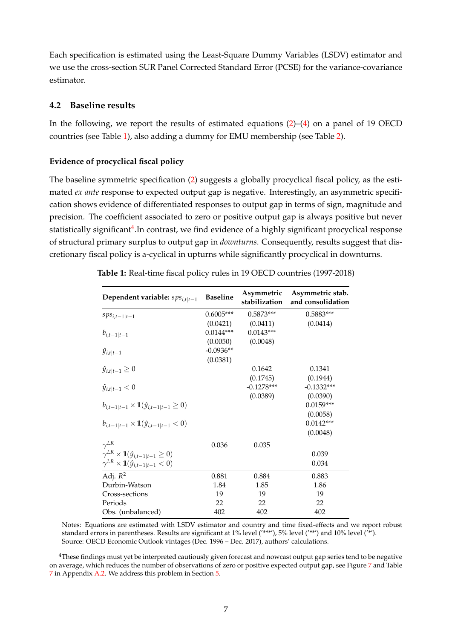Each specification is estimated using the Least-Square Dummy Variables (LSDV) estimator and we use the cross-section SUR Panel Corrected Standard Error (PCSE) for the variance-covariance estimator.

## **4.2 Baseline results**

In the following, we report the results of estimated equations  $(2)$ – $(4)$  on a panel of 19 OECD countries (see Table [1\)](#page-6-0), also adding a dummy for EMU membership (see Table [2\)](#page-9-0).

### **Evidence of procyclical fiscal policy**

The baseline symmetric specification [\(2\)](#page-5-1) suggests a globally procyclical fiscal policy, as the estimated *ex ante* response to expected output gap is negative. Interestingly, an asymmetric specification shows evidence of differentiated responses to output gap in terms of sign, magnitude and precision. The coefficient associated to zero or positive output gap is always positive but never statistically significant<sup>[4](#page-6-1)</sup>.In contrast, we find evidence of a highly significant procyclical response of structural primary surplus to output gap in *downturns*. Consequently, results suggest that discretionary fiscal policy is a-cyclical in upturns while significantly procyclical in downturns.

| Dependent variable: $sps_{i,t t-1}$                           | <b>Baseline</b> | Asymmetric<br>stabilization | Asymmetric stab.<br>and consolidation |
|---------------------------------------------------------------|-----------------|-----------------------------|---------------------------------------|
| $sps_{i,t-1 t-1}$                                             | $0.6005***$     | $0.5873***$                 | $0.5883***$                           |
|                                                               | (0.0421)        | (0.0411)                    | (0.0414)                              |
| $b_{i,t-1 t-1}$                                               | $0.0144***$     | $0.0143***$                 |                                       |
|                                                               | (0.0050)        | (0.0048)                    |                                       |
| $\hat{y}_{i,t t-1}$                                           | $-0.0936**$     |                             |                                       |
|                                                               | (0.0381)        |                             |                                       |
| $\hat{y}_{i,t t-1} \geq 0$                                    |                 | 0.1642                      | 0.1341                                |
|                                                               |                 | (0.1745)                    | (0.1944)                              |
| $\hat{y}_{i,t t-1} < 0$                                       |                 | $-0.1278***$                | $-0.1332***$                          |
|                                                               |                 | (0.0389)                    | (0.0390)                              |
| $b_{i,t-1 t-1} \times \mathbb{1}(\hat{y}_{i,t-1 t-1} \geq 0)$ |                 |                             | $0.0159***$                           |
|                                                               |                 |                             | (0.0058)                              |
| $b_{i,t-1 t-1} \times \mathbb{1}(\hat{y}_{i,t-1 t-1} < 0)$    |                 |                             | $0.0142***$                           |
|                                                               |                 |                             | (0.0048)                              |
| $\gamma^{LR}$                                                 | 0.036           | 0.035                       |                                       |
| $\gamma^{LR} \times \mathbb{1}(\hat{y}_{i,t-1 t-1} \geq 0)$   |                 |                             | 0.039                                 |
| $\gamma^{LR} \times \mathbb{1}(\hat{y}_{i,t-1 t-1} < 0)$      |                 |                             | 0.034                                 |
| Adj. $R^2$                                                    | 0.881           | 0.884                       | 0.883                                 |
| Durbin-Watson                                                 | 1.84            | 1.85                        | 1.86                                  |
| Cross-sections                                                | 19              | 19                          | 19                                    |
| Periods                                                       | 22              | 22                          | 22                                    |
| Obs. (unbalanced)                                             | 402             | 402                         | 402                                   |

<span id="page-6-0"></span>**Table 1:** Real-time fiscal policy rules in 19 OECD countries (1997-2018)

Notes: Equations are estimated with LSDV estimator and country and time fixed-effects and we report robust standard errors in parentheses. Results are significant at 1% level ('\*\*\*'), 5% level ('\*\*') and 10% level ('\*'). Source: OECD Economic Outlook vintages (Dec. 1996 – Dec. 2017), authors' calculations.

<span id="page-6-1"></span><sup>&</sup>lt;sup>4</sup>These findings must yet be interpreted cautiously given forecast and nowcast output gap series tend to be negative on average, which reduces the number of observations of zero or positive expected output gap, see Figure [7](#page-21-0) and Table [7](#page-20-2) in Appendix [A.2.](#page-20-1) We address this problem in Section [5.](#page-8-0)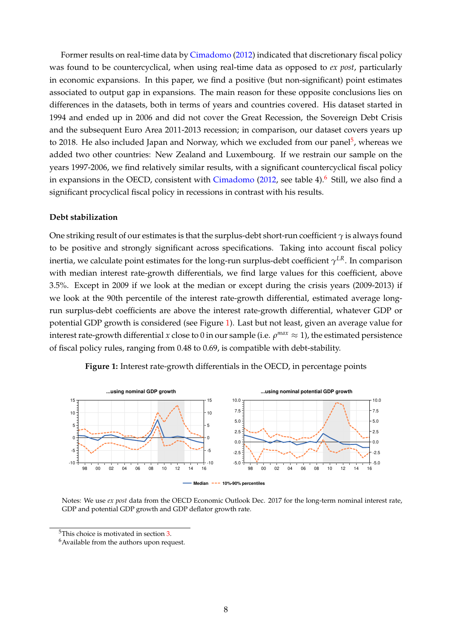Former results on real-time data by [Cimadomo](#page-22-1) [\(2012\)](#page-22-1) indicated that discretionary fiscal policy was found to be countercyclical, when using real-time data as opposed to *ex post*, particularly in economic expansions. In this paper, we find a positive (but non-significant) point estimates associated to output gap in expansions. The main reason for these opposite conclusions lies on differences in the datasets, both in terms of years and countries covered. His dataset started in 1994 and ended up in 2006 and did not cover the Great Recession, the Sovereign Debt Crisis and the subsequent Euro Area 2011-2013 recession; in comparison, our dataset covers years up to 2018. He also included Japan and Norway, which we excluded from our panel<sup>[5](#page-7-0)</sup>, whereas we added two other countries: New Zealand and Luxembourg. If we restrain our sample on the years 1997-2006, we find relatively similar results, with a significant countercyclical fiscal policy in expansions in the OECD, consistent with  $Cimadomo$  [\(2012,](#page-22-1) see table 4).<sup>[6](#page-7-1)</sup> Still, we also find a significant procyclical fiscal policy in recessions in contrast with his results.

#### **Debt stabilization**

One striking result of our estimates is that the surplus-debt short-run coefficient *γ* is always found to be positive and strongly significant across specifications. Taking into account fiscal policy inertia, we calculate point estimates for the long-run surplus-debt coefficient  $\gamma^{LR}.$  In comparison with median interest rate-growth differentials, we find large values for this coefficient, above 3.5%. Except in 2009 if we look at the median or except during the crisis years (2009-2013) if we look at the 90th percentile of the interest rate-growth differential, estimated average longrun surplus-debt coefficients are above the interest rate-growth differential, whatever GDP or potential GDP growth is considered (see Figure [1\)](#page-7-2). Last but not least, given an average value for interest rate-growth differential  $x$  close to 0 in our sample (i.e.  $\rho^{max} \approx 1$ ), the estimated persistence of fiscal policy rules, ranging from 0.48 to 0.69, is compatible with debt-stability.

<span id="page-7-2"></span>

**Figure 1:** Interest rate-growth differentials in the OECD, in percentage points

Notes: We use *ex post* data from the OECD Economic Outlook Dec. 2017 for the long-term nominal interest rate, GDP and potential GDP growth and GDP deflator growth rate.

<span id="page-7-0"></span><sup>5</sup>This choice is motivated in section [3.](#page-3-0)

<span id="page-7-1"></span><sup>&</sup>lt;sup>6</sup> Available from the authors upon request.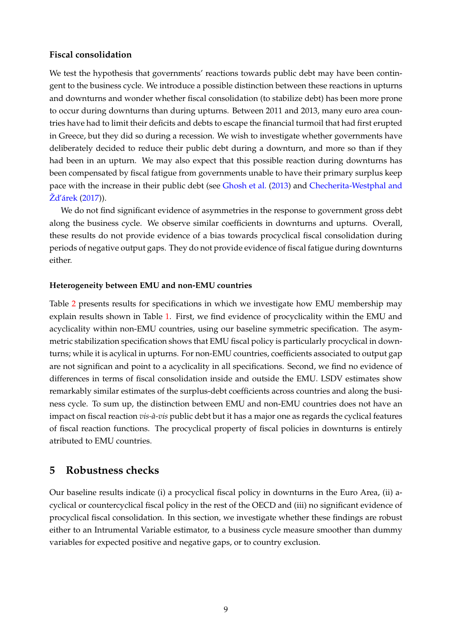## **Fiscal consolidation**

We test the hypothesis that governments' reactions towards public debt may have been contingent to the business cycle. We introduce a possible distinction between these reactions in upturns and downturns and wonder whether fiscal consolidation (to stabilize debt) has been more prone to occur during downturns than during upturns. Between 2011 and 2013, many euro area countries have had to limit their deficits and debts to escape the financial turmoil that had first erupted in Greece, but they did so during a recession. We wish to investigate whether governments have deliberately decided to reduce their public debt during a downturn, and more so than if they had been in an upturn. We may also expect that this possible reaction during downturns has been compensated by fiscal fatigue from governments unable to have their primary surplus keep pace with the increase in their public debt (see [Ghosh et al.](#page-22-22) [\(2013\)](#page-22-22) and [Checherita-Westphal and](#page-22-10) [Žd'árek](#page-22-10) [\(2017\)](#page-22-10)).

We do not find significant evidence of asymmetries in the response to government gross debt along the business cycle. We observe similar coefficients in downturns and upturns. Overall, these results do not provide evidence of a bias towards procyclical fiscal consolidation during periods of negative output gaps. They do not provide evidence of fiscal fatigue during downturns either.

#### **Heterogeneity between EMU and non-EMU countries**

Table [2](#page-9-0) presents results for specifications in which we investigate how EMU membership may explain results shown in Table [1.](#page-6-0) First, we find evidence of procyclicality within the EMU and acyclicality within non-EMU countries, using our baseline symmetric specification. The asymmetric stabilization specification shows that EMU fiscal policy is particularly procyclical in downturns; while it is acylical in upturns. For non-EMU countries, coefficients associated to output gap are not significan and point to a acyclicality in all specifications. Second, we find no evidence of differences in terms of fiscal consolidation inside and outside the EMU. LSDV estimates show remarkably similar estimates of the surplus-debt coefficients across countries and along the business cycle. To sum up, the distinction between EMU and non-EMU countries does not have an impact on fiscal reaction *vis-à-vis* public debt but it has a major one as regards the cyclical features of fiscal reaction functions. The procyclical property of fiscal policies in downturns is entirely atributed to EMU countries.

# <span id="page-8-0"></span>**5 Robustness checks**

Our baseline results indicate (i) a procyclical fiscal policy in downturns in the Euro Area, (ii) acyclical or countercyclical fiscal policy in the rest of the OECD and (iii) no significant evidence of procyclical fiscal consolidation. In this section, we investigate whether these findings are robust either to an Intrumental Variable estimator, to a business cycle measure smoother than dummy variables for expected positive and negative gaps, or to country exclusion.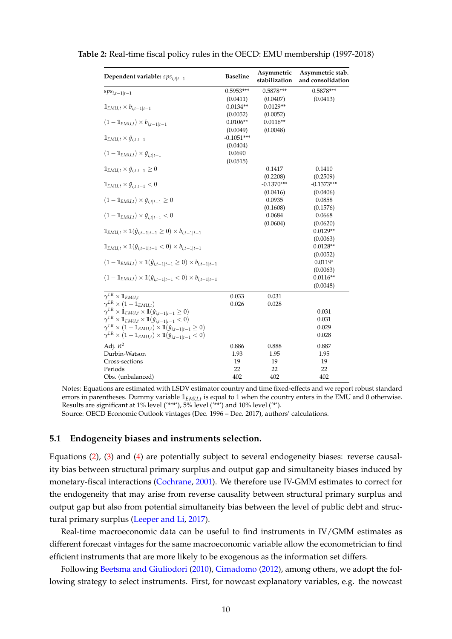| Dependent variable: $sps_{i,t t-1}$                                                          | <b>Baseline</b> | Asymmetric<br>stabilization | Asymmetric stab.<br>and consolidation |
|----------------------------------------------------------------------------------------------|-----------------|-----------------------------|---------------------------------------|
| $sps_{i,t-1 t-1}$                                                                            | $0.5953***$     | $0.5878***$                 | $0.5878***$                           |
|                                                                                              | (0.0411)        | (0.0407)                    | (0.0413)                              |
| $\mathbb{1}_{EMU,t} \times b_{i,t-1 t-1}$                                                    | $0.0134**$      | $0.0129**$                  |                                       |
|                                                                                              | (0.0052)        | (0.0052)                    |                                       |
| $(1 - \mathbb{1}_{EMU,t}) \times b_{i,t-1 t-1}$                                              | $0.0106**$      | $0.0116**$                  |                                       |
|                                                                                              | (0.0049)        | (0.0048)                    |                                       |
| $\mathbb{1}_{EMU,t} \times \hat{y}_{i,t t-1}$                                                | $-0.1051***$    |                             |                                       |
|                                                                                              | (0.0404)        |                             |                                       |
| $(1 - \mathbb{1}_{EMU,t}) \times \hat{y}_{i,t t-1}$                                          | 0.0690          |                             |                                       |
|                                                                                              | (0.0515)        |                             |                                       |
| $\mathbb{1}_{EMU,t} \times \hat{y}_{i,t t-1} \geq 0$                                         |                 | 0.1417                      | 0.1410                                |
| $\mathbb{1}_{EMU,t} \times \hat{y}_{i,t t-1} < 0$                                            |                 | (0.2208)<br>$-0.1370***$    | (0.2509)<br>$-0.1373***$              |
|                                                                                              |                 | (0.0416)                    | (0.0406)                              |
| $(1 - \mathbb{1}_{EMU,t}) \times \hat{y}_{i,t t-1} \geq 0$                                   |                 | 0.0935                      | 0.0858                                |
|                                                                                              |                 | (0.1608)                    | (0.1576)                              |
| $(1 - \mathbb{1}_{EMI,t}) \times \hat{y}_{i,t t-1} < 0$                                      |                 | 0.0684                      | 0.0668                                |
|                                                                                              |                 | (0.0604)                    | (0.0620)                              |
| $\mathbb{1}_{EMU,t} \times \mathbb{1}(\hat{y}_{i,t-1 t-1} \geq 0) \times b_{i,t-1 t-1}$      |                 |                             | $0.0129**$                            |
|                                                                                              |                 |                             | (0.0063)                              |
| $\mathbb{1}_{EMU,t} \times \mathbb{1}(\hat{y}_{i,t-1 t-1} < 0) \times b_{i,t-1 t-1}$         |                 |                             | $0.0128**$                            |
|                                                                                              |                 |                             | (0.0052)                              |
| $(1 - \mathbb{1}_{EMI,t}) \times \mathbb{1}(\hat{y}_{i,t-1 t-1} \ge 0) \times b_{i,t-1 t-1}$ |                 |                             | $0.0119*$                             |
|                                                                                              |                 |                             | (0.0063)                              |
| $(1 - \mathbb{1}_{EMU,t}) \times \mathbb{1}(\hat{y}_{i,t-1 t-1} < 0) \times b_{i,t-1 t-1}$   |                 |                             | $0.0116**$                            |
|                                                                                              |                 |                             | (0.0048)                              |
| $\gamma^{LR}\times \mathbb{1}_{EMU,t}$                                                       | 0.033           | 0.031                       |                                       |
| $\gamma^{LR} \times (1 - \mathbb{1}_{EMU,t})$                                                | 0.026           | 0.028                       |                                       |
| $\gamma^{LR}\times \mathbb{1}_{EMU,t}\times \mathbb{1}(\hat{y}_{i,t-1 t-1}\geq 0)$           |                 |                             | 0.031                                 |
| $\gamma^{LR} \times \mathbb{1}_{EMU,t} \times \mathbb{1}(\hat{y}_{i,t-1 t-1} < 0)$           |                 |                             | 0.031                                 |
| $\gamma^{LR} \times (1 - \mathbb{1}_{EMU,t}) \times \mathbb{1}(\hat{y}_{i,t-1 t-1} \geq 0)$  |                 |                             | 0.029                                 |
| $\gamma^{LR}\times (1-\mathbb{1}_{EMU,t})\times \mathbb{1}(\hat{y}_{i,t-1 t-1}<0)$           |                 |                             | 0.028                                 |
| Adj. $R^2$                                                                                   | 0.886           | 0.888                       | 0.887                                 |
| Durbin-Watson                                                                                | 1.93            | 1.95                        | 1.95                                  |
| Cross-sections                                                                               | 19              | 19                          | 19                                    |
| Periods                                                                                      | 22              | 22                          | 22                                    |
| Obs. (unbalanced)                                                                            | 402             | 402                         | 402                                   |

<span id="page-9-0"></span>**Table 2:** Real-time fiscal policy rules in the OECD: EMU membership (1997-2018)

Notes: Equations are estimated with LSDV estimator country and time fixed-effects and we report robust standard errors in parentheses. Dummy variable **1***EMU*,*<sup>t</sup>* is equal to 1 when the country enters in the EMU and 0 otherwise. Results are significant at 1% level ('\*\*\*'), 5% level ('\*\*') and 10% level ('\*').

Source: OECD Economic Outlook vintages (Dec. 1996 – Dec. 2017), authors' calculations.

#### **5.1 Endogeneity biases and instruments selection.**

Equations [\(2\)](#page-5-1), [\(3\)](#page-5-3) and [\(4\)](#page-5-2) are potentially subject to several endogeneity biases: reverse causality bias between structural primary surplus and output gap and simultaneity biases induced by monetary-fiscal interactions [\(Cochrane,](#page-22-23) [2001\)](#page-22-23). We therefore use IV-GMM estimates to correct for the endogeneity that may arise from reverse causality between structural primary surplus and output gap but also from potential simultaneity bias between the level of public debt and structural primary surplus [\(Leeper and Li,](#page-23-8) [2017\)](#page-23-8).

Real-time macroeconomic data can be useful to find instruments in IV/GMM estimates as different forecast vintages for the same macroeconomic variable allow the econometrician to find efficient instruments that are more likely to be exogenous as the information set differs.

Following [Beetsma and Giuliodori](#page-22-13) [\(2010\)](#page-22-13), [Cimadomo](#page-22-1) [\(2012\)](#page-22-1), among others, we adopt the following strategy to select instruments. First, for nowcast explanatory variables, e.g. the nowcast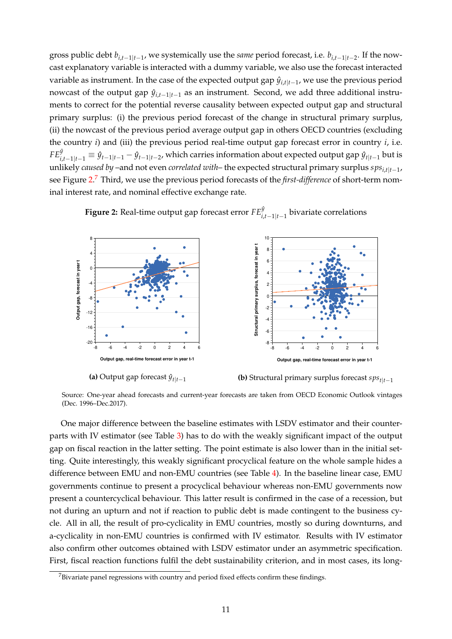gross public debt *bi*,*t*−1|*t*−<sup>1</sup> , we systemically use the *same* period forecast, i.e. *bi*,*t*−1|*t*−<sup>2</sup> . If the nowcast explanatory variable is interacted with a dummy variable, we also use the forecast interacted variable as instrument. In the case of the expected output gap *y*ˆ*i*,*t*|*t*−<sup>1</sup> , we use the previous period nowcast of the output gap  $\hat{y}_{i,t-1|t-1}$  as an instrument. Second, we add three additional instruments to correct for the potential reverse causality between expected output gap and structural primary surplus: (i) the previous period forecast of the change in structural primary surplus, (ii) the nowcast of the previous period average output gap in others OECD countries (excluding the country *i*) and (iii) the previous period real-time output gap forecast error in country *i*, i.e.  $FE^{\hat{y}}_{i,t-1|t-1}\equiv \hat{y}_{t-1|t-1}-\hat{y}_{t-1|t-2}$ , which carries information about expected output gap  $\hat{y}_{t|t-1}$  but is unlikely *caused by* –and not even *correlated with*– the expected structural primary surplus *spsi*,*t*|*t*−<sup>1</sup> , see Figure [2.](#page-10-0) [7](#page-10-1) Third, we use the previous period forecasts of the *first-difference* of short-term nominal interest rate, and nominal effective exchange rate.



<span id="page-10-0"></span>**Figure 2:** Real-time output gap forecast error  $FE_{i,t-1|t-1}^{\hat{y}}$  bivariate correlations

**(a)** Output gap forecast  $\hat{y}_{t|t-1}$ 

**(b)** Structural primary surplus forecast *spst*|*t*−<sup>1</sup>

Source: One-year ahead forecasts and current-year forecasts are taken from OECD Economic Outlook vintages (Dec. 1996–Dec.2017).

One major difference between the baseline estimates with LSDV estimator and their counterparts with IV estimator (see Table [3\)](#page-11-0) has to do with the weakly significant impact of the output gap on fiscal reaction in the latter setting. The point estimate is also lower than in the initial setting. Quite interestingly, this weakly significant procyclical feature on the whole sample hides a difference between EMU and non-EMU countries (see Table [4\)](#page-12-0). In the baseline linear case, EMU governments continue to present a procyclical behaviour whereas non-EMU governments now present a countercyclical behaviour. This latter result is confirmed in the case of a recession, but not during an upturn and not if reaction to public debt is made contingent to the business cycle. All in all, the result of pro-cyclicality in EMU countries, mostly so during downturns, and a-cyclicality in non-EMU countries is confirmed with IV estimator. Results with IV estimator also confirm other outcomes obtained with LSDV estimator under an asymmetric specification. First, fiscal reaction functions fulfil the debt sustainability criterion, and in most cases, its long-

<span id="page-10-1"></span><sup>&</sup>lt;sup>7</sup>Bivariate panel regressions with country and period fixed effects confirm these findings.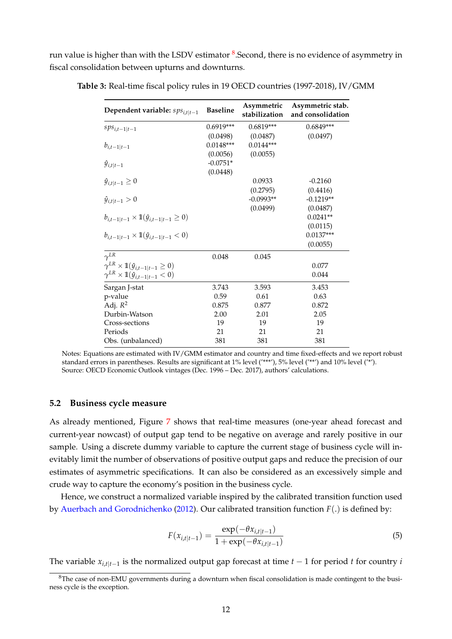<span id="page-11-0"></span>run value is higher than with the LSDV estimator  $^8$  $^8$ .Second, there is no evidence of asymmetry in fiscal consolidation between upturns and downturns.

| Dependent variable: $sps_{i,t t-1}$                           | <b>Baseline</b> | Asymmetric<br>stabilization | Asymmetric stab.<br>and consolidation |
|---------------------------------------------------------------|-----------------|-----------------------------|---------------------------------------|
| $sps_{i,t-1 t-1}$                                             | $0.6919***$     | $0.6819***$                 | $0.6849***$                           |
|                                                               | (0.0498)        | (0.0487)                    | (0.0497)                              |
| $b_{i,t-1 t-1}$                                               | $0.0148***$     | $0.0144***$                 |                                       |
|                                                               | (0.0056)        | (0.0055)                    |                                       |
| $\hat{y}_{i,t t-1}$                                           | $-0.0751*$      |                             |                                       |
|                                                               | (0.0448)        |                             |                                       |
| $\hat{y}_{i,t t-1} \geq 0$                                    |                 | 0.0933                      | $-0.2160$                             |
|                                                               |                 | (0.2795)                    | (0.4416)                              |
| $\hat{y}_{i,t t-1} > 0$                                       |                 | $-0.0993**$                 | $-0.1219**$                           |
|                                                               |                 | (0.0499)                    | (0.0487)                              |
| $b_{i,t-1 t-1} \times \mathbb{1}(\hat{y}_{i,t-1 t-1} \geq 0)$ |                 |                             | $0.0241**$                            |
|                                                               |                 |                             | (0.0115)                              |
| $b_{i,t-1 t-1} \times \mathbb{1}(\hat{y}_{i,t-1 t-1} < 0)$    |                 |                             | $0.0137***$                           |
|                                                               |                 |                             | (0.0055)                              |
| $\gamma^{LR}$                                                 | 0.048           | 0.045                       |                                       |
| $\gamma^{LR} \times \mathbb{1}(\hat{y}_{i,t-1 t-1} \geq 0)$   |                 |                             | 0.077                                 |
| $\gamma^{LR}\times \mathbb{1}(\hat{y}_{i,t-1 t-1}<0)$         |                 |                             | 0.044                                 |
| Sargan J-stat                                                 | 3.743           | 3.593                       | 3.453                                 |
| p-value                                                       | 0.59            | 0.61                        | 0.63                                  |
| Adj. $R^2$                                                    | 0.875           | 0.877                       | 0.872                                 |
| Durbin-Watson                                                 | 2.00            | 2.01                        | 2.05                                  |
| Cross-sections                                                | 19              | 19                          | 19                                    |
| Periods                                                       | 21              | 21                          | 21                                    |
| Obs. (unbalanced)                                             | 381             | 381                         | 381                                   |

**Table 3:** Real-time fiscal policy rules in 19 OECD countries (1997-2018), IV/GMM

#### **5.2 Business cycle measure**

As already mentioned, Figure [7](#page-21-0) shows that real-time measures (one-year ahead forecast and current-year nowcast) of output gap tend to be negative on average and rarely positive in our sample. Using a discrete dummy variable to capture the current stage of business cycle will inevitably limit the number of observations of positive output gaps and reduce the precision of our estimates of asymmetric specifications. It can also be considered as an excessively simple and crude way to capture the economy's position in the business cycle.

Hence, we construct a normalized variable inspired by the calibrated transition function used by [Auerbach and Gorodnichenko](#page-22-24) [\(2012\)](#page-22-24). Our calibrated transition function *F*(.) is defined by:

$$
F(x_{i,t|t-1}) = \frac{\exp(-\theta x_{i,t|t-1})}{1 + \exp(-\theta x_{i,t|t-1})}
$$
\n(5)

The variable *xi*,*t*|*t*−<sup>1</sup> is the normalized output gap forecast at time *t* − 1 for period *t* for country *i*

Notes: Equations are estimated with IV/GMM estimator and country and time fixed-effects and we report robust standard errors in parentheses. Results are significant at 1% level ('\*\*\*'), 5% level ('\*\*') and 10% level ('\*'). Source: OECD Economic Outlook vintages (Dec. 1996 – Dec. 2017), authors' calculations.

<span id="page-11-1"></span><sup>&</sup>lt;sup>8</sup>The case of non-EMU governments during a downturn when fiscal consolidation is made contingent to the business cycle is the exception.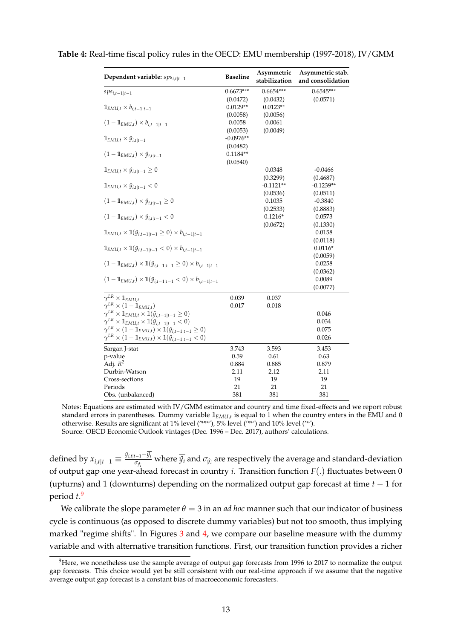| Dependent variable: $sps_{i,t t-1}$                                                                                                                                    | <b>Baseline</b>        | Asymmetric<br>stabilization | Asymmetric stab.<br>and consolidation |  |  |
|------------------------------------------------------------------------------------------------------------------------------------------------------------------------|------------------------|-----------------------------|---------------------------------------|--|--|
| $sps_{i,t-1 t-1}$                                                                                                                                                      | $0.6673***$            | $0.6654***$                 | $0.6545***$                           |  |  |
|                                                                                                                                                                        | (0.0472)               | (0.0432)                    | (0.0571)                              |  |  |
| $\mathbb{1}_{EMU,t} \times b_{i,t-1 t-1}$                                                                                                                              | $0.0129**$             | $0.0123**$                  |                                       |  |  |
|                                                                                                                                                                        | (0.0058)               | (0.0056)                    |                                       |  |  |
| $(1 - \mathbb{1}_{EMU,t}) \times b_{i,t-1 t-1}$                                                                                                                        | 0.0058                 | 0.0061                      |                                       |  |  |
|                                                                                                                                                                        | (0.0053)               | (0.0049)                    |                                       |  |  |
| $\mathbb{1}_{EMU,t} \times \hat{y}_{i,t t-1}$                                                                                                                          | $-0.0976**$            |                             |                                       |  |  |
| $(1-\mathbb{1}_{EMU,t})\times \hat{y}_{i,t t-1}$                                                                                                                       | (0.0482)<br>$0.1184**$ |                             |                                       |  |  |
|                                                                                                                                                                        | (0.0540)               |                             |                                       |  |  |
| $\mathbb{1}_{EMU,t} \times \hat{y}_{i,t t-1} \geq 0$                                                                                                                   |                        | 0.0348                      | $-0.0466$                             |  |  |
|                                                                                                                                                                        |                        | (0.3299)                    | (0.4687)                              |  |  |
| $\mathbb{1}_{EMU,t} \times \hat{y}_{i,t t-1} < 0$                                                                                                                      |                        | $-0.1121**$                 | $-0.1239**$                           |  |  |
|                                                                                                                                                                        |                        | (0.0536)                    | (0.0511)                              |  |  |
| $(1 - 1_{EMU,t}) \times \hat{y}_{i,t t-1} \geq 0$                                                                                                                      |                        | 0.1035                      | $-0.3840$                             |  |  |
|                                                                                                                                                                        |                        | (0.2533)                    | (0.8883)                              |  |  |
| $(1 - \mathbb{1}_{EMU,t}) \times \hat{y}_{i,t t-1} < 0$                                                                                                                |                        | $0.1216*$                   | 0.0573                                |  |  |
|                                                                                                                                                                        |                        | (0.0672)                    | (0.1330)                              |  |  |
| $\mathbb{1}_{EMU,t} \times \mathbb{1}(\hat{y}_{i,t-1 t-1} \geq 0) \times b_{i,t-1 t-1}$                                                                                |                        |                             | 0.0158                                |  |  |
|                                                                                                                                                                        |                        |                             | (0.0118)                              |  |  |
| $\mathbb{1}_{EMU,t} \times \mathbb{1}(\hat{y}_{i,t-1 t-1} < 0) \times b_{i,t-1 t-1}$                                                                                   |                        |                             | $0.0116*$                             |  |  |
|                                                                                                                                                                        |                        |                             | (0.0059)                              |  |  |
| $(1 - \mathbb{1}_{EMU,t}) \times \mathbb{1}(\hat{y}_{i,t-1 t-1} \ge 0) \times b_{i,t-1 t-1}$                                                                           |                        |                             | 0.0258                                |  |  |
|                                                                                                                                                                        |                        |                             | (0.0362)<br>0.0089                    |  |  |
| $(1 - \mathbb{1}_{EMU,t}) \times \mathbb{1}(\hat{y}_{i,t-1 t-1} < 0) \times b_{i,t-1 t-1}$                                                                             |                        |                             | (0.0077)                              |  |  |
|                                                                                                                                                                        |                        |                             |                                       |  |  |
| $\gamma^{LR}\times \mathbb{1}_{EMU,t}$                                                                                                                                 | 0.039                  | 0.037                       |                                       |  |  |
| $\gamma^{LR} \times (1 - \mathbb{1}_{EMU,t})$                                                                                                                          | 0.017                  | 0.018                       |                                       |  |  |
| $\gamma^{LR} \times \mathbb{1}_{EMU,t} \times \mathbb{1}(\hat{y}_{i,t-1 t-1} \geq 0)$                                                                                  |                        |                             | 0.046                                 |  |  |
| $\gamma^{LR} \times \mathbb{1}_{EMU,t} \times \mathbb{1}(\hat{y}_{i,t-1 t-1} < 0)$                                                                                     |                        |                             | 0.034<br>0.075                        |  |  |
| $\gamma^{LR} \times (1 - \mathbb{1}_{EMU,t}) \times \mathbb{1}(\hat{y}_{i,t-1 t-1} \geq 0)$<br>$\gamma^{LR} \times (1 - 1_{EMU,t}) \times 10(\hat{y}_{i,t-1 t-1} < 0)$ |                        |                             | 0.026                                 |  |  |
|                                                                                                                                                                        |                        |                             |                                       |  |  |
| Sargan J-stat                                                                                                                                                          | 3.743                  | 3.593                       | 3.453                                 |  |  |
| p-value                                                                                                                                                                | 0.59                   | 0.61                        | 0.63                                  |  |  |
| Adj. $R^2$<br>Durbin-Watson                                                                                                                                            | 0.884<br>2.11          | 0.885<br>2.12               | 0.879<br>2.11                         |  |  |
| Cross-sections                                                                                                                                                         | 19                     | 19                          | 19                                    |  |  |
| Periods                                                                                                                                                                | 21                     | 21                          | 21                                    |  |  |
| Obs. (unbalanced)                                                                                                                                                      | 381                    | 381                         | 381                                   |  |  |

<span id="page-12-0"></span>**Table 4:** Real-time fiscal policy rules in the OECD: EMU membership (1997-2018), IV/GMM

Notes: Equations are estimated with IV/GMM estimator and country and time fixed-effects and we report robust standard errors in parentheses. Dummy variable **1***EMU*,*<sup>t</sup>* is equal to 1 when the country enters in the EMU and 0 otherwise. Results are significant at 1% level ('\*\*\*'), 5% level ('\*\*') and 10% level ('\*'). Source: OECD Economic Outlook vintages (Dec. 1996 – Dec. 2017), authors' calculations.

defined by  $x_{i,t|t-1} \equiv \frac{\hat{y}_{i,t|t-1} - \overline{\hat{y}_{i}}}{\sigma_{i\hat{\imath}}}$  $\frac{J-1}{\sigma_{\hat{y}_i}}$  where  $\hat{y_i}$  and  $\sigma_{\hat{y}_i}$  are respectively the average and standard-deviation *i* of output gap one year-ahead forecast in country *i*. Transition function *F*(.) fluctuates between 0 (upturns) and 1 (downturns) depending on the normalized output gap forecast at time *t* − 1 for period *t*. [9](#page-12-1)

We calibrate the slope parameter  $\theta = 3$  in an *ad hoc* manner such that our indicator of business cycle is continuous (as opposed to discrete dummy variables) but not too smooth, thus implying marked "regime shifts". In Figures [3](#page-14-0) and [4,](#page-15-0) we compare our baseline measure with the dummy variable and with alternative transition functions. First, our transition function provides a richer

<span id="page-12-1"></span><sup>&</sup>lt;sup>9</sup>Here, we nonetheless use the sample average of output gap forecasts from 1996 to 2017 to normalize the output gap forecasts. This choice would yet be still consistent with our real-time approach if we assume that the negative average output gap forecast is a constant bias of macroeconomic forecasters.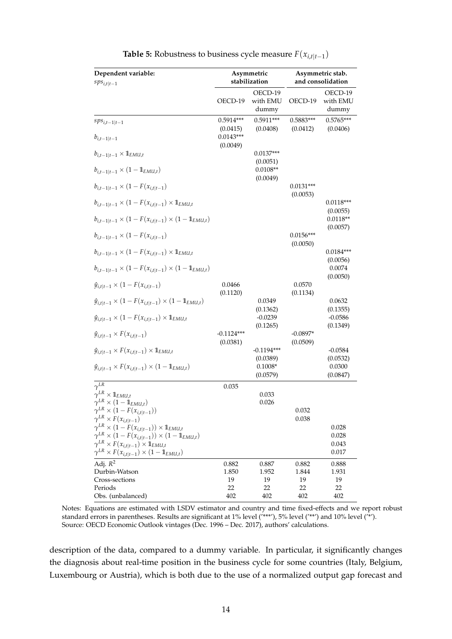<span id="page-13-0"></span>

| Dependent variable:<br>$sps_{i,t t-1}$                                                                     |                                     | Asymmetric<br>stabilization  | Asymmetric stab.<br>and consolidation |                              |  |
|------------------------------------------------------------------------------------------------------------|-------------------------------------|------------------------------|---------------------------------------|------------------------------|--|
|                                                                                                            | OECD-19                             | OECD-19<br>with EMU<br>dummy | OECD-19                               | OECD-19<br>with EMU<br>dummy |  |
| $sps_{i,t-1 t-1}$                                                                                          | $0.5914***$                         | $0.5911***$                  | $0.5883***$                           | $0.5765***$                  |  |
| $b_{i,t-1 t-1}$                                                                                            | (0.0415)<br>$0.0143***$<br>(0.0049) | (0.0408)                     | (0.0412)                              | (0.0406)                     |  |
| $b_{i,t-1 t-1} \times \mathbb{1}_{EMU,t}$                                                                  |                                     | $0.0137***$<br>(0.0051)      |                                       |                              |  |
| $b_{i,t-1 t-1} \times (1 - \mathbb{1}_{EMU,t})$                                                            |                                     | $0.0108**$<br>(0.0049)       |                                       |                              |  |
| $b_{i,t-1 t-1} \times (1 - F(x_{i,t t-1}))$                                                                |                                     |                              | $0.0131***$<br>(0.0053)               |                              |  |
| $b_{i,t-1 t-1} \times (1 - F(x_{i,t t-1}) \times \mathbb{1}_{EMU,t}$                                       |                                     |                              |                                       | $0.0118***$<br>(0.0055)      |  |
| $b_{i,t-1 t-1} \times (1 - F(x_{i,t t-1}) \times (1 - \mathbb{1}_{EMU,t})$                                 |                                     |                              |                                       | $0.0118**$<br>(0.0057)       |  |
| $b_{i,t-1 t-1} \times (1 - F(x_{i,t t-1}))$                                                                |                                     |                              | $0.0156***$<br>(0.0050)               |                              |  |
| $b_{i,t-1 t-1} \times (1 - F(x_{i,t t-1}) \times \mathbb{1}_{EMU,t}$                                       |                                     |                              |                                       | $0.0184***$<br>(0.0056)      |  |
| $b_{i,t-1 t-1} \times (1 - F(x_{i,t t-1}) \times (1 - \mathbb{1}_{EMU,t})$                                 |                                     |                              |                                       | 0.0074<br>(0.0050)           |  |
| $\hat{y}_{i,t t-1} \times (1 - F(x_{i,t t-1}))$                                                            | 0.0466<br>(0.1120)                  |                              | 0.0570<br>(0.1134)                    |                              |  |
| $\hat{y}_{i,t t-1} \times (1 - F(x_{i,t t-1}) \times (1 - \mathbb{1}_{EMU,t})$                             |                                     | 0.0349<br>(0.1362)           |                                       | 0.0632<br>(0.1355)           |  |
| $\hat{y}_{i,t t-1} \times (1 - F(x_{i,t t-1}) \times \mathbb{1}_{EMU,t}$                                   |                                     | $-0.0239$<br>(0.1265)        |                                       | $-0.0586$<br>(0.1349)        |  |
| $\hat{y}_{i,t t-1} \times F(x_{i,t t-1})$                                                                  | $-0.1124***$<br>(0.0381)            |                              | $-0.0897*$<br>(0.0509)                |                              |  |
| $\hat{y}_{i,t t-1} \times F(x_{i,t t-1}) \times \mathbb{1}_{EMU,t}$                                        |                                     | $-0.1194***$<br>(0.0389)     |                                       | $-0.0584$<br>(0.0532)        |  |
| $\hat{y}_{i,t t-1} \times F(x_{i,t t-1}) \times (1 - \mathbb{1}_{EMU,t})$                                  |                                     | $0.1008*$<br>(0.0579)        |                                       | 0.0300<br>(0.0847)           |  |
| $\gamma$ <sup>LR</sup>                                                                                     | 0.035                               |                              |                                       |                              |  |
| $\gamma^{LR}\times \mathbb{1}_{EMU,t}$<br>$\gamma^{LR} \times (1 - \mathbb{1}_{EMU,t})$                    |                                     | 0.033<br>0.026               |                                       |                              |  |
| $\gamma^{LR} \times (1 - F(x_{i,t t-1}))$                                                                  |                                     |                              | 0.032                                 |                              |  |
| $\gamma^{LR} \times F(x_{i,t t-1})$<br>$\gamma^{LR} \times (1 - F(x_{i,t t-1})) \times \mathbb{1}_{EMU,t}$ |                                     |                              | 0.038                                 | 0.028                        |  |
| $\gamma^{LR} \times (1 - F(x_{i,t t-1})) \times (1 - \mathbb{1}_{EMU,t})$                                  |                                     |                              |                                       | 0.028                        |  |
| $\gamma^{LR} \times F(x_{i,t t-1}) \times \mathbb{1}_{EMU,t}$                                              |                                     |                              |                                       | 0.043                        |  |
| $\gamma^{LR} \times F(x_{i,t t-1}) \times (1 - \mathbb{1}_{EMU,t})$                                        |                                     |                              |                                       | 0.017                        |  |
| Adj. $R^2$                                                                                                 | 0.882                               | 0.887                        | 0.882                                 | 0.888                        |  |
| Durbin-Watson                                                                                              | 1.850                               | 1.952                        | 1.844                                 | 1.931                        |  |
| Cross-sections<br>Periods                                                                                  | 19<br>22                            | 19<br>22                     | 19<br>22                              | 19<br>22                     |  |
| Obs. (unbalanced)                                                                                          | 402                                 | 402                          | 402                                   | 402                          |  |

| <b>Table 5:</b> Robustness to business cycle measure $F(x_{i,t t-1})$ |  |  |
|-----------------------------------------------------------------------|--|--|
|-----------------------------------------------------------------------|--|--|

Notes: Equations are estimated with LSDV estimator and country and time fixed-effects and we report robust standard errors in parentheses. Results are significant at 1% level ('\*\*\*'), 5% level ('\*\*') and 10% level ('\*'). Source: OECD Economic Outlook vintages (Dec. 1996 – Dec. 2017), authors' calculations.

description of the data, compared to a dummy variable. In particular, it significantly changes the diagnosis about real-time position in the business cycle for some countries (Italy, Belgium, Luxembourg or Austria), which is both due to the use of a normalized output gap forecast and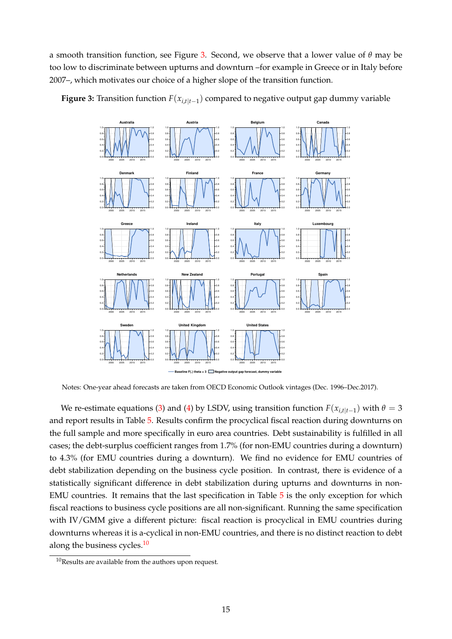a smooth transition function, see Figure [3.](#page-14-0) Second, we observe that a lower value of *θ* may be too low to discriminate between upturns and downturn –for example in Greece or in Italy before 2007–, which motivates our choice of a higher slope of the transition function.



<span id="page-14-0"></span>**Figure 3:** Transition function *F*(*xi*,*t*|*t*−<sup>1</sup> ) compared to negative output gap dummy variable

Notes: One-year ahead forecasts are taken from OECD Economic Outlook vintages (Dec. 1996–Dec.2017).

We re-estimate equations [\(3\)](#page-5-3) and [\(4\)](#page-5-2) by LSDV, using transition function  $F(x_{i,t|t-1})$  with  $\theta = 3$ and report results in Table [5.](#page-13-0) Results confirm the procyclical fiscal reaction during downturns on the full sample and more specifically in euro area countries. Debt sustainability is fulfilled in all cases; the debt-surplus coefficient ranges from 1.7% (for non-EMU countries during a downturn) to 4.3% (for EMU countries during a downturn). We find no evidence for EMU countries of debt stabilization depending on the business cycle position. In contrast, there is evidence of a statistically significant difference in debt stabilization during upturns and downturns in non-EMU countries. It remains that the last specification in Table [5](#page-13-0) is the only exception for which fiscal reactions to business cycle positions are all non-significant. Running the same specification with IV/GMM give a different picture: fiscal reaction is procyclical in EMU countries during downturns whereas it is a-cyclical in non-EMU countries, and there is no distinct reaction to debt along the business cycles.<sup>[10](#page-14-1)</sup>

<span id="page-14-1"></span><sup>10</sup>Results are available from the authors upon request.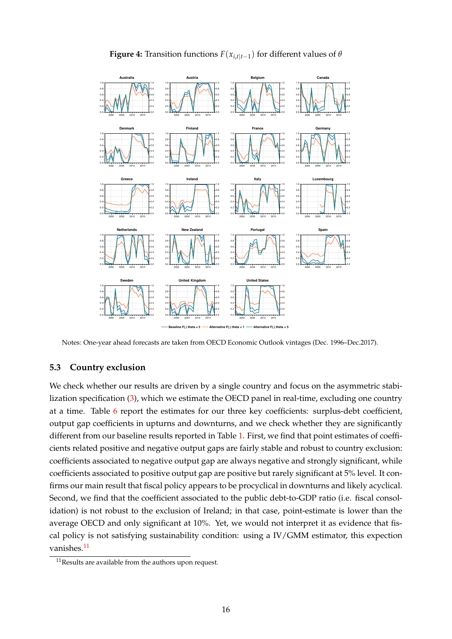<span id="page-15-0"></span>

**Figure 4:** Transition functions  $F(x_{i,t|t-1})$  for different values of  $\theta$ 

Notes: One-year ahead forecasts are taken from OECD Economic Outlook vintages (Dec. 1996–Dec.2017).

## **5.3 Country exclusion**

We check whether our results are driven by a single country and focus on the asymmetric stabilization specification [\(3\)](#page-5-3), which we estimate the OECD panel in real-time, excluding one country at a time. Table [6](#page-16-0) report the estimates for our three key coefficients: surplus-debt coefficient, output gap coefficients in upturns and downturns, and we check whether they are significantly different from our baseline results reported in Table [1.](#page-6-0) First, we find that point estimates of coefficients related positive and negative output gaps are fairly stable and robust to country exclusion: coefficients associated to negative output gap are always negative and strongly significant, while coefficients associated to positive output gap are positive but rarely significant at 5% level. It confirms our main result that fiscal policy appears to be procyclical in downturns and likely acyclical. Second, we find that the coefficient associated to the public debt-to-GDP ratio (i.e. fiscal consolidation) is not robust to the exclusion of Ireland; in that case, point-estimate is lower than the average OECD and only significant at 10%. Yet, we would not interpret it as evidence that fiscal policy is not satisfying sustainability condition: using a IV/GMM estimator, this expection vanishes.<sup>[11](#page-15-1)</sup>

<span id="page-15-1"></span> $11$ Results are available from the authors upon request.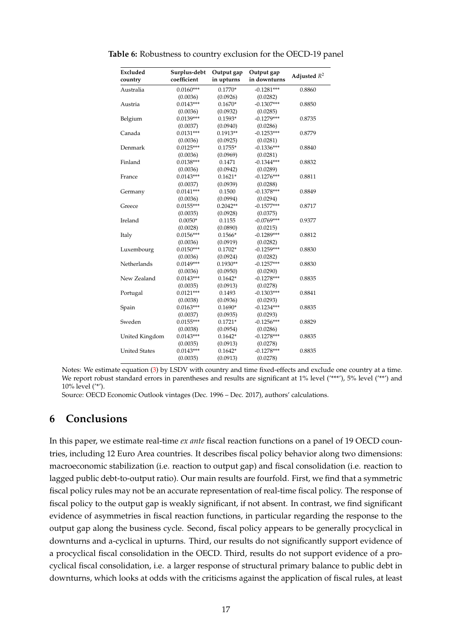| Excluded<br>country  | Surplus-debt<br>coefficient | Output gap<br>in upturns | Output gap<br>in downturns | Adjusted $R^2$ |
|----------------------|-----------------------------|--------------------------|----------------------------|----------------|
| Australia            | $0.0160***$                 | $0.1770*$                | $-0.1281***$               | 0.8860         |
|                      | (0.0036)                    | (0.0926)                 | (0.0282)                   |                |
| Austria              | $0.0143***$                 | $0.1670*$                | $-0.1307***$               | 0.8850         |
|                      | (0.0036)                    | (0.0932)                 | (0.0285)                   |                |
| Belgium              | $0.0139***$                 | $0.1593*$                | $-0.1279***$               | 0.8735         |
|                      | (0.0037)                    | (0.0940)                 | (0.0286)                   |                |
| Canada               | $0.0131***$                 | $0.1913**$               | $-0.1253***$               | 0.8779         |
|                      | (0.0036)                    | (0.0925)                 | (0.0281)                   |                |
| Denmark              | $0.0125***$                 | $0.1755*$                | $-0.1336***$               | 0.8840         |
|                      | (0.0036)                    | (0.0969)                 | (0.0281)                   |                |
| Finland              | $0.0138***$                 | 0.1471                   | $-0.1344***$               | 0.8832         |
|                      | (0.0036)                    | (0.0942)                 | (0.0289)                   |                |
| France               | $0.0143***$                 | $0.1621*$                | $-0.1276***$               | 0.8811         |
|                      | (0.0037)                    | (0.0939)                 | (0.0288)                   |                |
| Germany              | $0.0141***$                 | 0.1500                   | $-0.1378***$               | 0.8849         |
|                      | (0.0036)                    | (0.0994)                 | (0.0294)                   |                |
| Greece               | $0.0155***$                 | $0.2042**$               | $-0.1577***$               | 0.8717         |
|                      | (0.0035)                    | (0.0928)                 | (0.0375)                   |                |
| Ireland              | $0.0050*$                   | 0.1155                   | $-0.0769***$               | 0.9377         |
|                      | (0.0028)                    | (0.0890)                 | (0.0215)                   |                |
| Italy                | $0.0156***$                 | $0.1566*$                | $-0.1289***$               | 0.8812         |
|                      | (0.0036)                    | (0.0919)                 | (0.0282)                   |                |
| Luxembourg           | $0.0150***$                 | $0.1702*$                | $-0.1259***$               | 0.8830         |
|                      | (0.0036)                    | (0.0924)                 | (0.0282)                   |                |
| Netherlands          | $0.0149***$                 | $0.1930**$               | $-0.1257***$               | 0.8830         |
|                      | (0.0036)                    | (0.0950)                 | (0.0290)                   |                |
| New Zealand          | $0.0143***$                 | $0.1642*$                | $-0.1278***$               | 0.8835         |
|                      | (0.0035)                    | (0.0913)                 | (0.0278)                   |                |
| Portugal             | $0.0121***$                 | 0.1493                   | $-0.1303***$               | 0.8841         |
|                      | (0.0038)                    | (0.0936)                 | (0.0293)                   |                |
| Spain                | $0.0163***$                 | $0.1690*$                | $-0.1234***$               | 0.8835         |
|                      | (0.0037)                    | (0.0935)                 | (0.0293)                   |                |
| Sweden               | $0.0155***$                 | $0.1721*$                | $-0.1256***$               | 0.8829         |
|                      | (0.0038)                    | (0.0954)                 | (0.0286)                   |                |
| United Kingdom       | $0.0143***$                 | $0.1642*$                | $-0.1278***$               | 0.8835         |
|                      | (0.0035)                    | (0.0913)                 | (0.0278)                   |                |
| <b>United States</b> | $0.0143***$                 | $0.1642*$                | $-0.1278***$               | 0.8835         |
|                      | (0.0035)                    | (0.0913)                 | (0.0278)                   |                |

<span id="page-16-0"></span>**Table 6:** Robustness to country exclusion for the OECD-19 panel

Notes: We estimate equation [\(3\)](#page-5-3) by LSDV with country and time fixed-effects and exclude one country at a time. We report robust standard errors in parentheses and results are significant at 1% level ('\*\*'), 5% level ('\*\*') and 10% level ('\*').

Source: OECD Economic Outlook vintages (Dec. 1996 – Dec. 2017), authors' calculations.

# **6 Conclusions**

In this paper, we estimate real-time *ex ante* fiscal reaction functions on a panel of 19 OECD countries, including 12 Euro Area countries. It describes fiscal policy behavior along two dimensions: macroeconomic stabilization (i.e. reaction to output gap) and fiscal consolidation (i.e. reaction to lagged public debt-to-output ratio). Our main results are fourfold. First, we find that a symmetric fiscal policy rules may not be an accurate representation of real-time fiscal policy. The response of fiscal policy to the output gap is weakly significant, if not absent. In contrast, we find significant evidence of asymmetries in fiscal reaction functions, in particular regarding the response to the output gap along the business cycle. Second, fiscal policy appears to be generally procyclical in downturns and a-cyclical in upturns. Third, our results do not significantly support evidence of a procyclical fiscal consolidation in the OECD. Third, results do not support evidence of a procyclical fiscal consolidation, i.e. a larger response of structural primary balance to public debt in downturns, which looks at odds with the criticisms against the application of fiscal rules, at least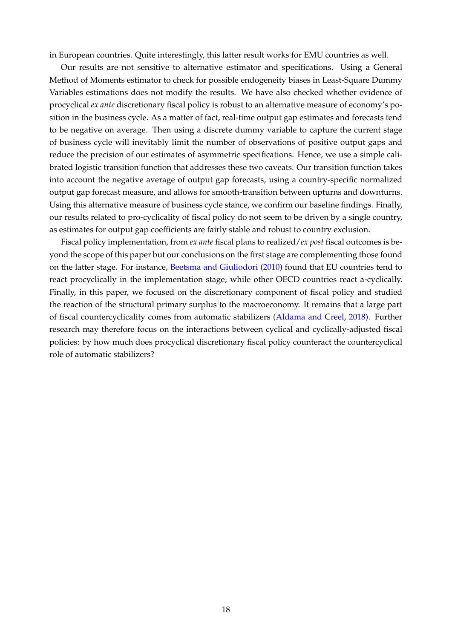in European countries. Quite interestingly, this latter result works for EMU countries as well.

Our results are not sensitive to alternative estimator and specifications. Using a General Method of Moments estimator to check for possible endogeneity biases in Least-Square Dummy Variables estimations does not modify the results. We have also checked whether evidence of procyclical *ex ante* discretionary fiscal policy is robust to an alternative measure of economy's position in the business cycle. As a matter of fact, real-time output gap estimates and forecasts tend to be negative on average. Then using a discrete dummy variable to capture the current stage of business cycle will inevitably limit the number of observations of positive output gaps and reduce the precision of our estimates of asymmetric specifications. Hence, we use a simple calibrated logistic transition function that addresses these two caveats. Our transition function takes into account the negative average of output gap forecasts, using a country-specific normalized output gap forecast measure, and allows for smooth-transition between upturns and downturns. Using this alternative measure of business cycle stance, we confirm our baseline findings. Finally, our results related to pro-cyclicality of fiscal policy do not seem to be driven by a single country, as estimates for output gap coefficients are fairly stable and robust to country exclusion.

Fiscal policy implementation, from *ex ante* fiscal plans to realized/*ex post* fiscal outcomes is beyond the scope of this paper but our conclusions on the first stage are complementing those found on the latter stage. For instance, [Beetsma and Giuliodori](#page-22-13) [\(2010\)](#page-22-13) found that EU countries tend to react procyclically in the implementation stage, while other OECD countries react a-cyclically. Finally, in this paper, we focused on the discretionary component of fiscal policy and studied the reaction of the structural primary surplus to the macroeconomy. It remains that a large part of fiscal countercyclicality comes from automatic stabilizers [\(Aldama and Creel,](#page-22-25) [2018\)](#page-22-25). Further research may therefore focus on the interactions between cyclical and cyclically-adjusted fiscal policies: by how much does procyclical discretionary fiscal policy counteract the countercyclical role of automatic stabilizers?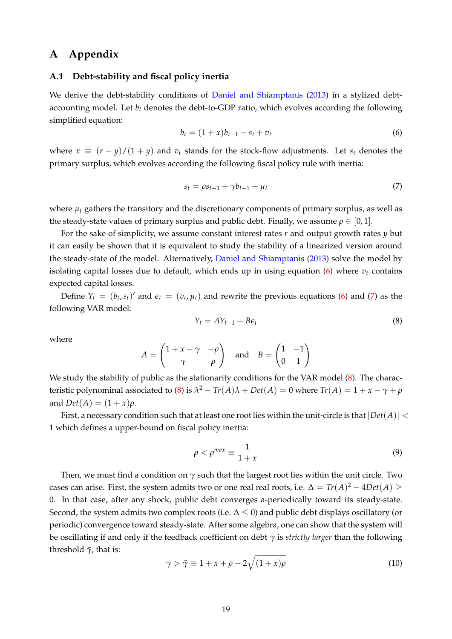# **A Appendix**

#### <span id="page-18-0"></span>**A.1 Debt-stability and fiscal policy inertia**

We derive the debt-stability conditions of [Daniel and Shiamptanis](#page-22-20) [\(2013\)](#page-22-20) in a stylized debtaccounting model. Let  $b_t$  denotes the debt-to-GDP ratio, which evolves according the following simplified equation:

<span id="page-18-1"></span>
$$
b_t = (1+x)b_{t-1} - s_t + v_t \tag{6}
$$

where  $x \equiv (r - y)/(1 + y)$  and  $v_t$  stands for the stock-flow adjustments. Let  $s_t$  denotes the primary surplus, which evolves according the following fiscal policy rule with inertia:

<span id="page-18-2"></span>
$$
s_t = \rho s_{t-1} + \gamma b_{t-1} + \mu_t \tag{7}
$$

where  $u_t$  gathers the transitory and the discretionary components of primary surplus, as well as the steady-state values of primary surplus and public debt. Finally, we assume  $\rho \in [0,1]$ .

For the sake of simplicity, we assume constant interest rates *r* and output growth rates *y* but it can easily be shown that it is equivalent to study the stability of a linearized version around the steady-state of the model. Alternatively, [Daniel and Shiamptanis](#page-22-20) [\(2013\)](#page-22-20) solve the model by isolating capital losses due to default, which ends up in using equation  $(6)$  where  $v_t$  contains expected capital losses.

Define  $Y_t = (b_t, s_t)'$  and  $\epsilon_t = (v_t, \mu_t)$  and rewrite the previous equations [\(6\)](#page-18-1) and [\(7\)](#page-18-2) as the following VAR model:

<span id="page-18-3"></span>
$$
Y_t = A Y_{t-1} + B \epsilon_t \tag{8}
$$

where

$$
A = \begin{pmatrix} 1 + x - \gamma & -\rho \\ \gamma & \rho \end{pmatrix} \text{ and } B = \begin{pmatrix} 1 & -1 \\ 0 & 1 \end{pmatrix}
$$

We study the stability of public as the stationarity conditions for the VAR model [\(8\)](#page-18-3). The charac-teristic polynominal associated to [\(8\)](#page-18-3) is  $\lambda^2 - Tr(A)\lambda + Det(A) = 0$  where  $Tr(A) = 1 + x - \gamma + \rho$ and  $Det(A) = (1 + x)\rho$ .

First, a necessary condition such that at least one root lies within the unit-circle is that  $|Det(A)| <$ 1 which defines a upper-bound on fiscal policy inertia:

$$
\rho < \rho^{max} \equiv \frac{1}{1+x} \tag{9}
$$

Then, we must find a condition on *γ* such that the largest root lies within the unit circle. Two cases can arise. First, the system admits two or one real real roots, i.e.  $\Delta = Tr(A)^2 - 4Det(A) \geq 0$ 0. In that case, after any shock, public debt converges a-periodically toward its steady-state. Second, the system admits two complex roots (i.e.  $\Delta < 0$ ) and public debt displays oscillatory (or periodic) convergence toward steady-state. After some algebra, one can show that the system will be oscillating if and only if the feedback coefficient on debt *γ* is *strictly larger* than the following threshold  $\bar{\gamma}$ , that is:

$$
\gamma > \bar{\gamma} \equiv 1 + x + \rho - 2\sqrt{(1+x)\rho} \tag{10}
$$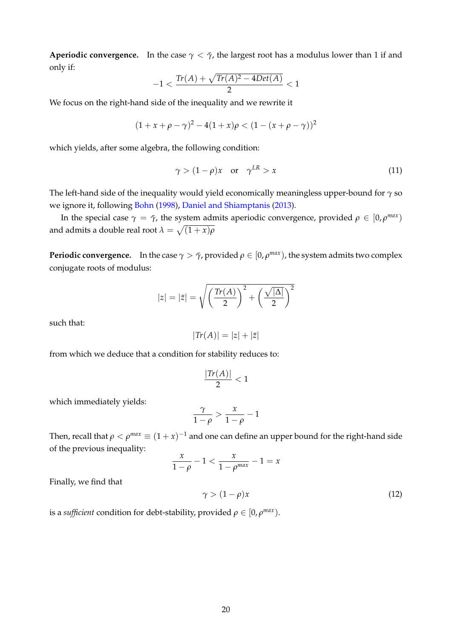**Aperiodic convergence.** In the case  $\gamma < \bar{\gamma}$ , the largest root has a modulus lower than 1 if and only if:

$$
-1<\frac{\textit{Tr}(A)+\sqrt{\textit{Tr}(A)^2-4\textit{Det}(A)}}{2}<1
$$

We focus on the right-hand side of the inequality and we rewrite it

$$
(1 + x + \rho - \gamma)^2 - 4(1 + x)\rho < (1 - (x + \rho - \gamma))^2
$$

which yields, after some algebra, the following condition:

$$
\gamma > (1 - \rho)x \quad \text{or} \quad \gamma^{LR} > x \tag{11}
$$

The left-hand side of the inequality would yield economically meaningless upper-bound for *γ* so we ignore it, following [Bohn](#page-22-6) [\(1998\)](#page-22-6), [Daniel and Shiamptanis](#page-22-20) [\(2013\)](#page-22-20).

In the special case  $\gamma = \bar{\gamma}$ , the system admits aperiodic convergence, provided  $\rho \in [0, \rho^{max})$ and admits a double real root  $\lambda = \sqrt{(1 + x) \rho}$ 

**Periodic convergence.** In the case  $\gamma > \bar{\gamma}$ , provided  $\rho \in [0,\rho^{max})$ , the system admits two complex conjugate roots of modulus:

$$
|z| = |\bar{z}| = \sqrt{\left(\frac{\text{Tr}(A)}{2}\right)^2 + \left(\frac{\sqrt{|\Delta|}}{2}\right)^2}
$$

such that:

$$
|Tr(A)| = |z| + |\bar{z}|
$$

from which we deduce that a condition for stability reduces to:

$$
\frac{|Tr(A)|}{2}<1
$$

which immediately yields:

$$
\frac{\gamma}{1-\rho} > \frac{x}{1-\rho} - 1
$$

Then, recall that  $\rho < \rho^{max} \equiv (1+x)^{-1}$  and one can define an upper bound for the right-hand side of the previous inequality:

$$
\frac{x}{1-\rho}-1 < \frac{x}{1-\rho^{max}}-1 = x
$$

Finally, we find that

$$
\gamma > (1 - \rho)x \tag{12}
$$

is a *sufficient* condition for debt-stability, provided  $\rho \in [0, \rho^{max})$ .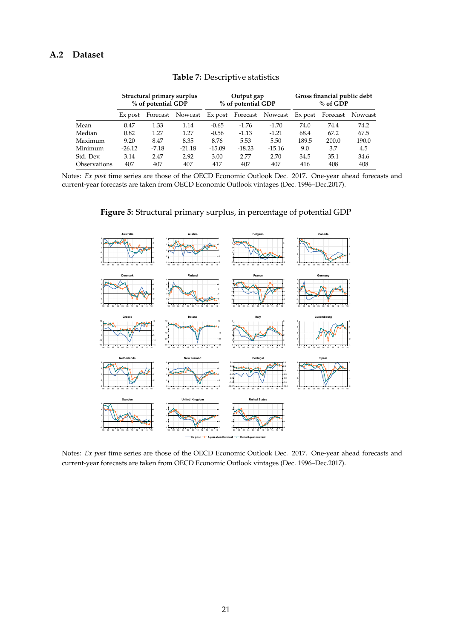# <span id="page-20-2"></span><span id="page-20-1"></span>**A.2 Dataset**

|              | Structural primary surplus<br>% of potential GDP |          | Output gap<br>% of potential GDP |          |          | Gross financial public debt<br>$%$ of GDP |         |          |         |
|--------------|--------------------------------------------------|----------|----------------------------------|----------|----------|-------------------------------------------|---------|----------|---------|
|              | Ex post                                          | Forecast | Nowcast                          | Ex post  |          | Forecast Nowcast                          | Ex post | Forecast | Nowcast |
| Mean         | 0.47                                             | 1.33     | 1.14                             | $-0.65$  | $-1.76$  | $-1.70$                                   | 74.0    | 74.4     | 74.2    |
| Median       | 0.82                                             | 1.27     | 1.27                             | $-0.56$  | $-1.13$  | $-1.21$                                   | 68.4    | 67.2     | 67.5    |
| Maximum      | 9.20                                             | 8.47     | 8.35                             | 8.76     | 5.53     | 5.50                                      | 189.5   | 200.0    | 190.0   |
| Minimum      | $-26.12$                                         | $-7.18$  | $-21.18$                         | $-15.09$ | $-18.23$ | $-15.16$                                  | 9.0     | 3.7      | 4.5     |
| Std. Dev.    | 3.14                                             | 2.47     | 2.92                             | 3.00     | 2.77     | 2.70                                      | 34.5    | 35.1     | 34.6    |
| Observations | 407                                              | 407      | 407                              | 417      | 407      | 407                                       | 416     | 408      | 408     |
|              |                                                  |          |                                  |          |          |                                           |         |          |         |

**Table 7:** Descriptive statistics

<span id="page-20-0"></span>Notes: *Ex post* time series are those of the OECD Economic Outlook Dec. 2017. One-year ahead forecasts and current-year forecasts are taken from OECD Economic Outlook vintages (Dec. 1996–Dec.2017).



**Figure 5:** Structural primary surplus, in percentage of potential GDP

Notes: *Ex post* time series are those of the OECD Economic Outlook Dec. 2017. One-year ahead forecasts and current-year forecasts are taken from OECD Economic Outlook vintages (Dec. 1996–Dec.2017).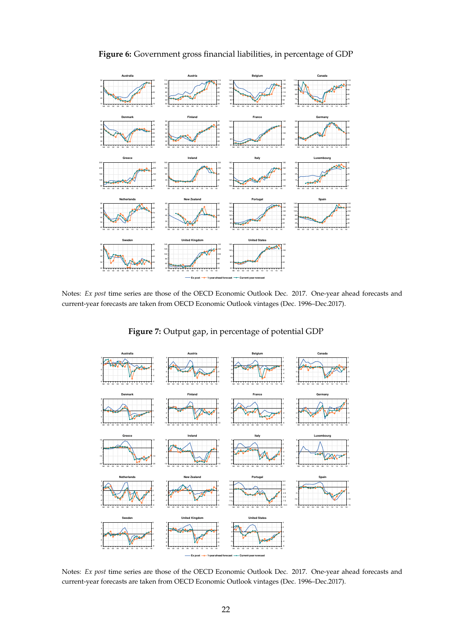

**Figure 6:** Government gross financial liabilities, in percentage of GDP

<span id="page-21-0"></span>Notes: *Ex post* time series are those of the OECD Economic Outlook Dec. 2017. One-year ahead forecasts and current-year forecasts are taken from OECD Economic Outlook vintages (Dec. 1996–Dec.2017).

**Figure 7:** Output gap, in percentage of potential GDP



Notes: *Ex post* time series are those of the OECD Economic Outlook Dec. 2017. One-year ahead forecasts and current-year forecasts are taken from OECD Economic Outlook vintages (Dec. 1996–Dec.2017).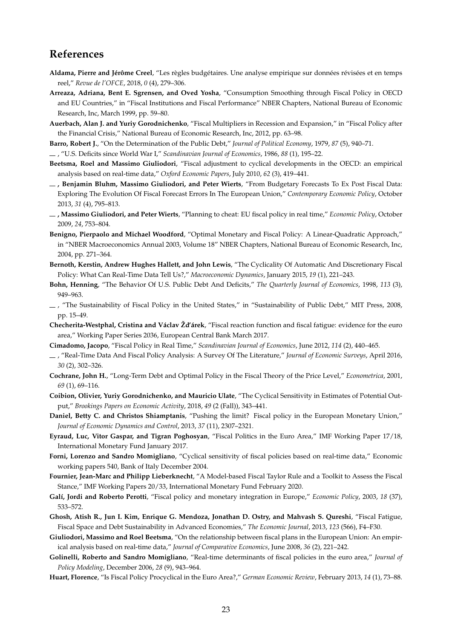# **References**

- <span id="page-22-25"></span>**Aldama, Pierre and Jérôme Creel**, "Les règles budgétaires. Une analyse empirique sur données révisées et en temps reel," *Revue de l'OFCE*, 2018, *0* (4), 279–306.
- <span id="page-22-7"></span>**Arreaza, Adriana, Bent E. Sgrensen, and Oved Yosha**, "Consumption Smoothing through Fiscal Policy in OECD and EU Countries," in "Fiscal Institutions and Fiscal Performance" NBER Chapters, National Bureau of Economic Research, Inc, March 1999, pp. 59–80.
- <span id="page-22-24"></span>**Auerbach, Alan J. and Yuriy Gorodnichenko**, "Fiscal Multipliers in Recession and Expansion," in "Fiscal Policy after the Financial Crisis," National Bureau of Economic Research, Inc, 2012, pp. 63–98.

<span id="page-22-4"></span>**Barro, Robert J.**, "On the Determination of the Public Debt," *Journal of Political Economy*, 1979, *87* (5), 940–71.

<span id="page-22-5"></span>, "U.S. Deficits since World War I," *Scandinavian Journal of Economics*, 1986, *88* (1), 195–22.

- <span id="page-22-13"></span>**Beetsma, Roel and Massimo Giuliodori**, "Fiscal adjustment to cyclical developments in the OECD: an empirical analysis based on real-time data," *Oxford Economic Papers*, July 2010, *62* (3), 419–441.
- <span id="page-22-16"></span>**, Benjamin Bluhm, Massimo Giuliodori, and Peter Wierts**, "From Budgetary Forecasts To Ex Post Fiscal Data: Exploring The Evolution Of Fiscal Forecast Errors In The European Union," *Contemporary Economic Policy*, October 2013, *31* (4), 795–813.
- <span id="page-22-15"></span>**, Massimo Giuliodori, and Peter Wierts**, "Planning to cheat: EU fiscal policy in real time," *Economic Policy*, October 2009, *24*, 753–804.
- <span id="page-22-18"></span>**Benigno, Pierpaolo and Michael Woodford**, "Optimal Monetary and Fiscal Policy: A Linear-Quadratic Approach," in "NBER Macroeconomics Annual 2003, Volume 18" NBER Chapters, National Bureau of Economic Research, Inc, 2004, pp. 271–364.
- <span id="page-22-12"></span>**Bernoth, Kerstin, Andrew Hughes Hallett, and John Lewis**, "The Cyclicality Of Automatic And Discretionary Fiscal Policy: What Can Real-Time Data Tell Us?," *Macroeconomic Dynamics*, January 2015, *19* (1), 221–243.
- <span id="page-22-6"></span>**Bohn, Henning**, "The Behavior Of U.S. Public Debt And Deficits," *The Quarterly Journal of Economics*, 1998, *113* (3), 949–963.
- <span id="page-22-21"></span> $-$ , "The Sustainability of Fiscal Policy in the United States," in "Sustainability of Public Debt," MIT Press, 2008, pp. 15–49.
- <span id="page-22-10"></span>**Checherita-Westphal, Cristina and Václav Žd'árek**, "Fiscal reaction function and fiscal fatigue: evidence for the euro area," Working Paper Series 2036, European Central Bank March 2017.
- <span id="page-22-1"></span>**Cimadomo, Jacopo**, "Fiscal Policy in Real Time," *Scandinavian Journal of Economics*, June 2012, *114* (2), 440–465.
- <span id="page-22-2"></span>, "Real-Time Data And Fiscal Policy Analysis: A Survey Of The Literature," *Journal of Economic Surveys*, April 2016, *30* (2), 302–326.
- <span id="page-22-23"></span>**Cochrane, John H.**, "Long-Term Debt and Optimal Policy in the Fiscal Theory of the Price Level," *Econometrica*, 2001, *69* (1), 69–116.
- <span id="page-22-17"></span>**Coibion, Olivier, Yuriy Gorodnichenko, and Mauricio Ulate**, "The Cyclical Sensitivity in Estimates of Potential Output," *Brookings Papers on Economic Activity*, 2018, *49* (2 (Fall)), 343–441.
- <span id="page-22-20"></span>**Daniel, Betty C. and Christos Shiamptanis**, "Pushing the limit? Fiscal policy in the European Monetary Union," *Journal of Economic Dynamics and Control*, 2013, *37* (11), 2307–2321.
- <span id="page-22-14"></span>**Eyraud, Luc, Vitor Gaspar, and Tigran Poghosyan**, "Fiscal Politics in the Euro Area," IMF Working Paper 17/18, International Monetary Fund January 2017.
- <span id="page-22-11"></span>**Forni, Lorenzo and Sandro Momigliano**, "Cyclical sensitivity of fiscal policies based on real-time data," Economic working papers 540, Bank of Italy December 2004.
- <span id="page-22-19"></span>**Fournier, Jean-Marc and Philipp Lieberknecht**, "A Model-based Fiscal Taylor Rule and a Toolkit to Assess the Fiscal Stance," IMF Working Papers 20/33, International Monetary Fund February 2020.
- <span id="page-22-8"></span>**Galí, Jordi and Roberto Perotti**, "Fiscal policy and monetary integration in Europe," *Economic Policy*, 2003, *18* (37), 533–572.
- <span id="page-22-22"></span>**Ghosh, Atish R., Jun I. Kim, Enrique G. Mendoza, Jonathan D. Ostry, and Mahvash S. Qureshi**, "Fiscal Fatigue, Fiscal Space and Debt Sustainability in Advanced Economies," *The Economic Journal*, 2013, *123* (566), F4–F30.
- <span id="page-22-3"></span>**Giuliodori, Massimo and Roel Beetsma**, "On the relationship between fiscal plans in the European Union: An empirical analysis based on real-time data," *Journal of Comparative Economics*, June 2008, *36* (2), 221–242.
- <span id="page-22-0"></span>**Golinelli, Roberto and Sandro Momigliano**, "Real-time determinants of fiscal policies in the euro area," *Journal of Policy Modeling*, December 2006, *28* (9), 943–964.
- <span id="page-22-9"></span>**Huart, Florence**, "Is Fiscal Policy Procyclical in the Euro Area?," *German Economic Review*, February 2013, *14* (1), 73–88.